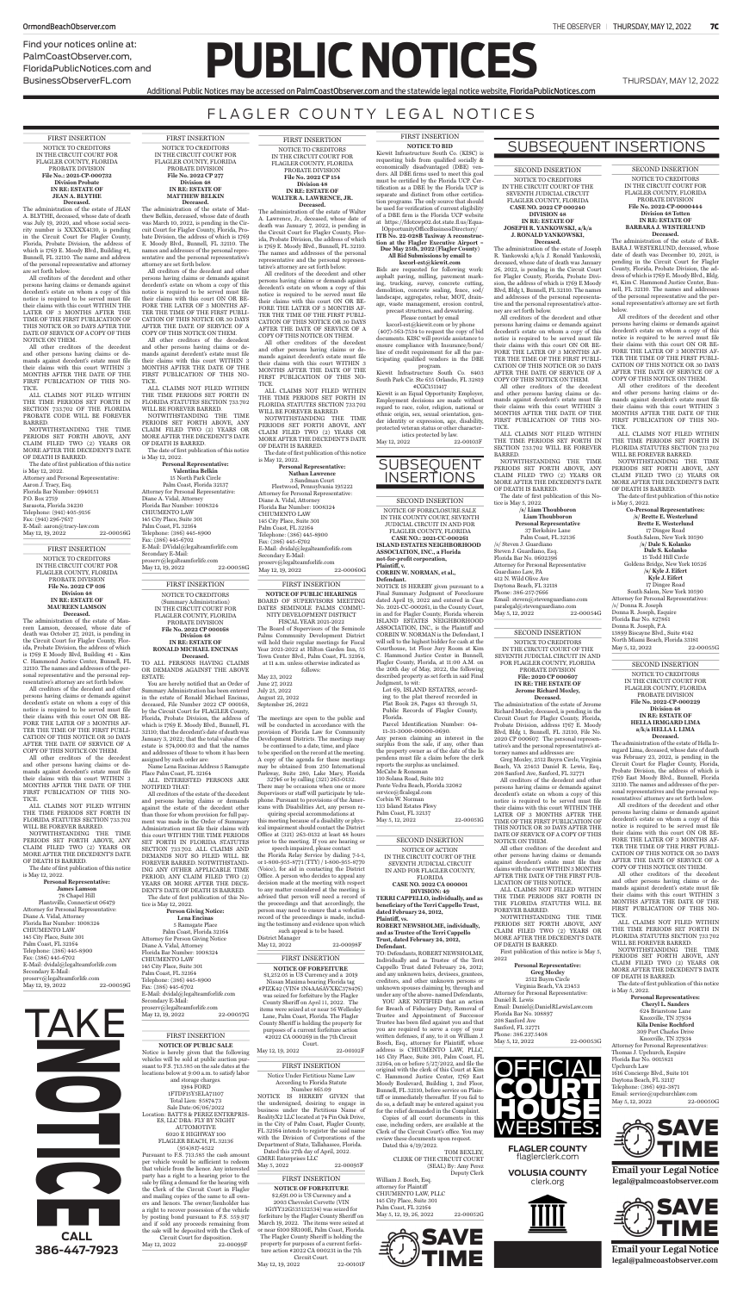Find your notices online at: PalmCoastObserver.com, FloridaPublicNotices.com and BusinessObserverFL.com

**PUBLIC NOTICES** 

# FLAGLER COUNTY LEGAL NOTICES

Additional Public Notices may be accessed on PalmCoastObserver.com and the statewide legal notice website, FloridaPublicNotices.com

FIRST INSERTION NOTICE TO CREDITORS IN THE CIRCUIT COURT FOR FLAGLER COUNTY, FLORIDA PROBATE DIVISION **File No.: 2021-CP-000732 Division Probate IN RE: ESTATE OF JEAN A. BLYTHE Deceased.**

The administration of the estate of JEAN A. BLYTHE, deceased, whose date of death was July 19, 2020, and whose social security number is XXXXX4130, is pending in the Circuit Court for Flagler County, Florida, Probate Division, the address of which is 1769 E. Moody Blvd., Building #1, Bunnell, FL 32110. The name and address of the personal representative and attorney are set forth below.

ALL CLAIMS NOT FILED WITHIN THE TIME PERIODS SET FORTH IN SECTION 733.702 OF THE FLORIDA PROBATE CODE WILL BE FOREVER BARRED.

NOTWITHSTANDING THE TIME PERIODS SET FORTH ABOVE, ANY CLAIM FILED TWO (2) YEARS OR MORE AFTER THE DECEDENT'S DATE OF DEATH IS BARRED.

The date of first publication of this notice is May 12, 2022. Attorney and Personal Representative: Aaron J. Tracy, Esq. Florida Bar Number: 0940151 P.O. Box 2759 Sarasota, Florida 34230 Telephone: (941) 405-9156 Fax: (941) 296-7657 E-Mail: aaron@tracy-law.com<br>May 12, 19, 2022 22-00056G  $May 12, 19, 2022$ 

All creditors of the decedent and other persons having claims or demands against decedent's estate on whom a copy of this notice is required to be served must file their claims with this court WITHIN THE LATER OF 3 MONTHS AFTER THE TIME OF THE FIRST PUBLICATION OF THIS NOTICE OR 30 DAYS AFTER THE DATE OF SERVICE OF A COPY OF THIS NOTICE ON THEM.

### **RONALD MICHAEL ENCINAS Deceased.**<br>TO ALL PERSONS HAVING CLAIMS

All other creditors of the decedent and other persons having claims or demands against decedent's estate must file their claims with this court WITHIN 3 MONTHS AFTER THE DATE OF THE FIRST PUBLICATION OF THIS NO-TICE.

> **Person Giving Notice: Lena Encinas** 5 Ramsgate Place Palm Coast, Florida 32164 Attorney for Person Giving Notice Diane A. Vidal, Attorney Florida Bar Number: 1008324 CHIUMENTO LAW 145 City Place, Suite 301 Palm Coast, FL 32164 Telephone: (386) 445-8900 Fax: (386) 445-6702 E-Mail: dvidal@legalteamforlife.com Secondary E-Mail: proserv@legalteamforlife.com May 12, 19, 2022 22-00057G

FIRST INSERTION NOTICE TO CREDITORS (Summary Administration) IN THE CIRCUIT COURT FOR FLAGLER COUNTY, FLORIDA PROBATE DIVISION **File No. 2022 CP 000168 Division 48 IN RE: ESTATE OF**

OR DEMANDS AGAINST THE ABOVE ESTATE:

All other creditors of the decedent and other persons having claims or demands against decedent's estate must file their claims with this court WITHIN 3 MONTHS AFTER THE DATE OF THE FIRST PUBLICATION OF THIS NO-**TICE** 

You are hereby notified that an Order of Summary Administration has been entered in the estate of Ronald Michael Encinas deceased, File Number 2022 CP 000168, by the Circuit Court for FLAGLER County, Florida, Probate Division, the address of which is 1769 E. Moody Blvd., Bunnell, FL 32110; that the decedent's date of death was January 3, 2022; that the total value of the estate is \$74,000.03 and that the names and addresses of those to whom it has been assigned by such order are:

NOTWITHSTANDING THE TIME PERIODS SET FORTH ABOVE, ANY CLAIM FILED TWO (2) YEARS OR MORE AFTER THE DECEDENT'S DATE OF DEATH IS BARRED. The date of first publication of this notice

Palm Coast, FL 32164 Telephone: (386) 445-8900 Fax: (386) 445-6702 E-Mail: DVidal@legalteamforlife.com Secondary E-Mail: proserv@legalteamforlife.com May 12, 19, 2022 22-00058G

Name Lena Encinas Address 5 Ramsgate

Place Palm Coast, FL 32164 ALL INTERESTED PERSONS ARE NOTIFIED THAT:

All creditors of the estate of the decedent and persons having claims or demands against the estate of the decedent other than those for whom provision for full payment was made in the Order of Summary Administration must file their claims with this court WITHIN THE TIME PERIODS SET FORTH IN FLORIDA STATUTES SECTION 733.702. ALL CLAIMS AND DEMANDS NOT SO FILED WILL BE FOREVER BARRED. NOTWITHSTAND-ING ANY OTHER APPLICABLE TIME PERIOD, ANY CLAIM FILED TWO (2) YEARS OR MORE AFTER THE DECE-DENT'S DATE OF DEATH IS BARRED. The date of first publication of this Notice is May 12, 2022.

All other creditors of the decedent and other persons having claims or denst decedent's estate must file their claims with this court WITHIN 3 MONTHS AFTER THE DATE OF THE FIRST PUBLICATION OF THIS NO-**TICE** 

**Personal Representative: James** Lamso 78 Chapel Hill Plantsville, Connecticut 06479 Attorney for Personal Representative: Diane A. Vidal, Attorney Florida Bar Number: 1008324 CHIUMENTO LAW 145 City Place, Suite 301 Palm Coast, FL 32164 Telephone: (386) 445-8900 Fax: (386) 445-6702 E-Mail: dvidal@legalteamforlife.com Secondary E-Mail: proserv@legalteamforlife.com May 12, 19, 2022 22-00059G

FIRST INSERTION NOTICE TO CREDITORS IN THE CIRCUIT COURT FOR FLAGLER COUNTY, FLORIDA PROBATE DIVISION **File No. 2022 CP 277 Division 48 IN RE: ESTATE OF MATTHEW BELKIN Deceased.**

The administration of the estate of Matthew Belkin, deceased, whose date of death was March 10, 2022, is pending in the Circuit Court for Flagler County, Florida, Probate Division, the address of which is 1769 E. Moody Blvd., Bunnell, FL 32110. The names and addresses of the personal representative and the personal representative's attorney are set forth below.

> **Personal Representative: Nathan Lawrence** 3 Sandman Court Fleetwood, Pennsylvania 195222 Attorney for Personal Representative: Diane A. Vidal, Attorney Florida Bar Number: 1008324 CHIUMENTO LAW 145 City Place, Suite 301 Palm Coast, FL 32164 Telephone: (386) 445-8900 Fax: (386) 445-6702 E-Mail: dvidal@legalteamforlife.com Secondary E-Mail: proserv@legalteamforlife.com May 12, 19, 2022 22-00060G

All creditors of the decedent and other persons having claims or demands against decedent's estate on whom a copy of this notice is required to be served must file their claims with this court ON OR BE-FORE THE LATER OF 3 MONTHS AF-TER THE TIME OF THE FIRST PUBLI-CATION OF THIS NOTICE OR 30 DAYS AFTER THE DATE OF SERVICE OF A COPY OF THIS NOTICE ON THEM.

ALL CLAIMS NOT FILED WITHIN THE TIME PERIODS SET FORTH IN FLORIDA STATUTES SECTION 733.702 WILL BE FOREVER BARRED.

is May 12, 2022. **Personal Representative: Valentina Belkin** 15 North Park Circle Palm Coast, Florida 32137 Attorney for Personal Representative: Diane A. Vidal, Attorney Florida Bar Number: 1008324 CHIUMENTO LAW 145 City Place, Suite 301

> District Manager May 12, 2022 22-00098F

FIRST INSERTION NOTICE TO CREDITORS IN THE CIRCUIT COURT FOR FLAGLER COUNTY, FLORIDA PROBATE DIVISION **File No. 2022 CP 036 Division 48 IN RE: ESTATE OF MAUREEN LAMSON Deceased.**

The administration of the estate of Maureen Lamson, deceased, whose date of death was October 27, 2021, is pending in the Circuit Court for Flagler County, Florida, Probate Division, the address of which is 1769 E Moody Blvd, Building #1 - Kim C. Hammond Justice Center, Bunnell, FL 32110. The names and addresses of the personal representative and the personal representative's attorney are set forth below.

> Notice Under Fictitious Name Law According to Florida Statute Number 865.09 NOTICE IS HEREBY GIVEN that the undersigned, desiring to engage in business under the Fictitious Name of RealityX2 LLC located at 74 Pin Oak Drive, in the City of Palm Coast, Flagler County, FL 32164 intends to register the said name with the Division of Corporations of the Department of State, Tallahassee, Florida. Dated this 27th day of April, 2022. GMRE Enterprises LLC May 5, 2022 22-00095F

All creditors of the decedent and other persons having claims or demands against decedent's estate on whom a copy of this notice is required to be served must file their claims with this court ON OR BE-FORE THE LATER OF 3 MONTHS AF-TER THE TIME OF THE FIRST PUBLI-CATION OF THIS NOTICE OR 30 DAYS AFTER THE DATE OF SERVICE OF A COPY OF THIS NOTICE ON THEM.

ALL CLAIMS NOT FILED WITHIN THE TIME PERIODS SET FORTH IN FLORIDA STATUTES SECTION 733.702 WILL BE FOREVER BARRED.

NOTWITHSTANDING THE TIME PERIODS SET FORTH ABOVE, ANY CLAIM FILED TWO (2) YEARS OR MORE AFTER THE DECEDENT'S DATE OF DEATH IS BARRED.

The date of first publication of this notice is May 12, 2022.

FIRST INSERTION NOTICE TO CREDITORS IN THE CIRCUIT COURT FOR FLAGLER COUNTY, FLORIDA PROBATE DIVISION **File No. 2022 CP 154 Division 48 IN RE: ESTATE OF WALTER A. LAWRENCE, JR. Deceased.**

The administration of the estate of Walter A. Lawrence, Jr., deceased, whose date of death was January 7, 2022, is pending in the Circuit Court for Flagler County, Florida, Probate Division, the address of which is 1769 E. Moody Blvd., Bunnell, FL 32110. The names and addresses of the personal representative and the personal representative's attorney are set forth below.

All creditors of the decedent and other persons having claims or demands against decedent's estate on whom a copy of this notice is required to be served must file their claims with this court ON OR BE-FORE THE LATER OF 3 MONTHS AF-TER THE TIME OF THE FIRST PUBLI-CATION OF THIS NOTICE OR 30 DAYS AFTER THE DATE OF SERVICE OF A COPY OF THIS NOTICE ON THEM.

> **Personal Representatives: Cheryl L. Sanders** 624 Briarstone Lane Knoxville, TN 37934 **Kila Denise Rochford** 309 Port Charles Drive Knoxville, TN 37934 Attorney for Personal Representatives: Thomas J. Upchurch, Esquire Florida Bar No. 0015821 Upchurch Law 1616 Concierge Blvd., Suite 101 Daytona Beach, FL 32117 Telephone: (386) 492-3871 Email: service@upchurchlaw.com<br>May 5, 12, 2022 22-00050G May 5, 12, 2022

All other creditors of the decedent and other persons having claims or demands against decedent's estate must file their claims with this court WITHIN 3 MONTHS AFTER THE DATE OF THE FIRST PUBLICATION OF THIS NO-TICE.

ALL CLAIMS NOT FILED WITHIN THE TIME PERIODS SET FORTH IN FLORIDA STATUTES SECTION 733.702 WILL BE FOREVER BARRED.

> Greg Moxley, 2512 Buyrn Circle, Virginia Beach, VA 23453 Daniel R. Lewis, Esq., nford, FL 3277

NOTWITHSTANDING THE TIME PERIODS SET FORTH ABOVE, ANY CLAIM FILED TWO (2) YEARS OR MORE AFTER THE DECEDENT'S DATE OF DEATH IS BARRED.

The date of first publication of this notice is May 12, 2022.

> Virginia Beach, VA 23453 Attorney for Personal Representative: Daniel R. Lewis Email: Daniel@DanielRLewisLaw.com Florida Bar No. 108897 208 Sanford Ave Sanford, FL 32771 Phone: 386.237.5408 May 5, 12, 2022 22-00053G

FIRST INSERTION

**NOTICE OF PUBLIC HEARINGS** BOARD OF SUPERVISORS MEETING DATES SEMINOLE PALMS COMMU-NITY DEVELOPMENT DISTRICT FISCAL YEAR 2021-2022

The Board of Supervisors of the Seminole Palms Community Development District will hold their regular meetings for Fiscal Year 2021-2022 at Hilton Garden Inn, 55 Town Center Blvd., Palm Coast, FL 32164, at 11 a.m. unless otherwise indicated as follows:

|                    | 10HO |
|--------------------|------|
| May 23, 2022       |      |
| June 27, 2022      |      |
| July 25, 2022      |      |
| August 22, 2022    |      |
| September 26, 2022 |      |

All other creditors of the decedent and other persons having claims or demands against decedent's estate must file their claims with this court WITHIN 3 MONTHS AFTER THE DATE OF THE FIRST PUBLICATION OF THIS NO-**TICE** 

The meetings are open to the public and will be conducted in accordance with the provision of Florida Law for Community Development Districts. The meetings may be continued to a date, time, and place

ALL CLAIMS NOT FILED WITHIN THE TIME PERIODS SET FORTH IN SECTION 733.702 WILL BE FOREVER BARRED.

to be specified on the record at the meeting. A copy of the agenda for these meetings may be obtained from 250 International

Parkway, Suite 280, Lake Mary, Florida 32746 or by calling (321) 263-0132.

There may be occasions when one or more Supervisors or staff will participate by telephone. Pursuant to provisions of the Americans with Disabilities Act, any person re-

quiring special accommodations at this meeting because of a disability or physical impairment should contact the District Office at (321) 263-0132 at least 48 hours prior to the meeting. If you are hearing or speech impaired, please contact

the Florida Relay Service by dialing 7-1-1, or 1-800-955-8771 (TTY) / 1-800-955-8770 (Voice), for aid in contacting the District Office. A person who decides to appeal any decision made at the meeting with respect to any matter considered at the meeting is advised that person will need a record of the proceedings and that accordingly, the person may need to ensure that a verbatim record of the proceedings is made, including the testimony and evidence upon which such appeal is to be based.

ALL CLAIMS NOT FILED WITHIN THE TIME PERIODS SET FORTH IN FLORIDA STATUTES SECTION 733.702 WILL BE FOREVER BARRED.

### FIRST INSERTION

13899 Biscayne Blvd., Suite #142 North Miami Beach, Florida 33181  $May\,5, 12, 2022$ 

**NOTICE OF PUBLIC SALE**  Notice is hereby given that the following vehicles will be sold at public auction pursuant to F.S. 713.585 on the sale dates at the locations below at 9:00 a.m. to satisfy labor and storage charges. 1984 FORD 1FTDF15Y5ELA71107 Total Lien: \$5874.73 Sale Date:06/06/2022 Location: BATT'S & PEREZ ENTERPRIS-ES, LLC DBA: FLY BY NIGHT AUTOMOTIVE 6020 E HIGHWAY 100 FLAGLER BEACH, FL 32136 (954)817-4522 Pursuant to F.S. 713.585 the cash amount per vehicle would be sufficient to redeem that vehicle from the lienor. Any interested party has a right to a hearing prior to the sale by filing a demand for the hearing with the Clerk of the Circuit Court in Flagler and mailing copies of the same to all owners and lienors. The owner/lienholder has a right to recover possession of the vehicle by posting bond pursuant to F.S. 559.917 and if sold any proceeds remaining from the sale will be deposited with the Clerk of

Circuit Court for disposition.<br>2. 2022 22-00099F May 12, 2022

Lot 69, ISLAND ESTATES, according to the plat thereof recorded in Plat Book 28, Pages 43 through 51, Public Records of Flagler County, Florida.

Any person claiming an interest in the surplus from the sale, if any, other than the property owner as of the date of the lis pendens must file a claim before the clerk reports the surplus as unclaimed. McCabe & Ronsman 110 Solana Road, Suite 102 Ponte Vedra Beach, Florida 32082 service@flcalegal.com Corbin W. Norman 133 Island Estates Pkwy Palm Coast, FL 32137 May 5, 12, 2022 22-00051G

### FIRST INSERTION

### FIRST INSERTION

#### **NOTICE OF FORFEITURE** \$2,691.00 is US Currency and a 2003 Chevrolet Corvette (VIN 1G1YY32G535132534) was seized for

William J. Bosch, Esq. attorney for Plaintiff CHIUMENTO LAW, PLLC 145 City Place, Suite 301 Palm Coast, FL 32164 May 5, 12, 19, 26, 2022 22-00052G

forfeiture by the Flagler County Sheriff on March 19, 2022. The items were seized at or near 6100 SR100E, Palm Coast, Florida. The Flagler County Sheriff is holding the property for purposes of a current forfeiture action #2022 CA 000231 in the 7th Circuit Court.

May 12, 19, 2022 22-00101F

### FIRST INSERTION

**NOTICE OF FORFEITURE**  $$1,252.05$  in US Currency and a 2019 Nissan Maxima bearing Florida tag #PIZK42 (VIN# 1N4AA6AVXKC378476) was seized for forfeiture by the Flagler County Sheriff on April 11, 2022. The items were seized at or near 56 Wellesley Lane, Palm Coast, Florida. The Flagler County Sheriff is holding the property for purposes of a current forfeiture action #2022 CA 000269 in the 7th Circuit Court.

May 12, 19, 2022 22-00102F

### FIRST INSERTION **NOTICE TO BID**

Kiewit Infrastructure South Co. (KISC) is requesting bids from qualified socially & economically disadvantaged (DBE) vendors. All DBE firms used to meet this goal must be certified by the Florida UCP. Certification as a DBE by the Florida UCP is separate and distinct from other certification programs. The only source that should be used for verification of current eligibility of a DBE firm is the Florida UCP website at https://fdotxwp02.dot.state.fl.us/Equa-

lOpportunityOfficeBusinessDirectory/ **ITB No. 22-028B Taxiway A reconstruction at the Flagler Executive Airport = Due May 25th, 2022 (Flagler County) All Bid Submissions by email to** 

**kscorl-est@kiewit.com** 

Bids are requested for following work: asphalt paving, milling, pavement marking, trucking, survey, concrete cutting, demolition, concrete sealing, fence, sod/ landscape, aggregates, rebar, MOT, drainage, waste management, erosion control,

precast structures, and dewatering. Please contact by email

 kscorl-est@kiewit.com or by phone (407)-563-7534 to request the copy of bid documents. KISC will provide assistance to

ensure compliance with Insurance/bond/ line of credit requirement for all the participating qualified vendors in the DBE program. Kiewit Infrastructure South Co. 8403

South Park Cir. Ste 655 Orlando, FL 32819 #CGC1511417 Kiewit is an Equal Opportunity Employer, Employment decisions are made without regard to race, color, religion, national or ethnic origin, sex, sexual orientation, gender identity or expression, age, disability, protected veteran status or other character-

istics protected by law.<br>022 22-00103F May 12, 2022



SECOND INSERTION

NOTICE TO CREDITORS IN THE CIRCUIT COURT FOR FLAGLER COUNTY, FLORIDA PROBATE DIVISION **File No. 2022-CP-000229 Division 48 IN RE: ESTATE OF HELLA IRMGARD LIMA a/k/a HELLA I. LIMA**

**Deceased.** The administration of the estate of Hella Irmgard Lima, deceased, whose date of death was February 23, 2022, is pending in the Circuit Court for Flagler County, Florida, Probate Division, the address of which is

1769 East Moody Blvd., Bunnell, Florida 32110. The names and addresses of the personal representatives and the personal representatives' attorney are set forth below.

All creditors of the decedent and other persons having claims or demands against decedent's estate on whom a copy of this notice is required to be served must file their claims with this court ON OR BE-FORE THE LATER OF 3 MONTHS AF-TER THE TIME OF THE FIRST PUBLI-CATION OF THIS NOTICE OR 30 DAYS AFTER THE DATE OF SERVICE OF A COPY OF THIS NOTICE ON THEM.

All other creditors of the decedent and other persons having claims or demands against decedent's estate must file their claims with this court WITHIN 3 MONTHS AFTER THE DATE OF THE FIRST PUBLICATION OF THIS NO-TICE.

ALL CLAIMS NOT FILED WITHIN THE TIME PERIODS SET FORTH IN FLORIDA STATUTES SECTION 733.702 WILL BE FOREVER BARRED.

NOTWITHSTANDING THE TIME PERIODS SET FORTH ABOVE, ANY CLAIM FILED TWO (2) YEARS OR MORE AFTER THE DECEDENT'S DATE OF DEATH IS BARRED.

The date of first publication of this notice is May 5, 2022.

SECOND INSERTION

May 5, 12, 2022 22-00054G

NOTICE TO CREDITORS IN THE CIRCUIT COURT OF THE SEVENTH JUDICIAL CIRCUIT IN AND FOR FLAGLER COUNTY, FLORIDA PROBATE DIVISION

#### **File: 2020 CP 000607 IN RE: THE ESTATE OF Jerome Richard Moxley, Deceased.**

The administration of the estate of Jerome Richard Moxley, deceased, is pending in the Circuit Court for Flagler County, Florida, Probate Division, address 1767 E. Moody Blvd, Bldg 1, Bunnell, FL 32110, File No. 2020 CP 000607. The personal representative's and the personal representative's attorney names and addresses are:

All creditors of the decedent and other persons having claims or demands against decedent's estate on whom a copy of this notice is required to be served must file their claims with this court WITHIN THE LATER OF 3 MONTHS AFTER THE TIME OF THE FIRST PUBLICATION OF THIS NOTICE OR 30 DAYS AFTER THE DATE OF SERVICE OF A COPY OF THIS NOTICE ON THEM.

All other creditors of the decedent and other persons having claims or demands against decedent's estate must file their claims with the court WITHIN 3 MONTHS AFTER THE DATE OF THE FIRST PUB-LICATION OF THIS NOTICE.

ALL CLAIMS NOT FILLED WITHIN THE TIME PERIODS SET FORTH IN THE FLORIDA STATUTES WILL BE FOREVER BARRED.

NOTWITHSTANDING THE TIME PERIODS SET FORTH ABOVE, ANY CLAIM FILED TWO (2) YEARS OR MORE AFTER THE DECEDENT'S DATE OF DEATH IS BARRED.

First publication of this notice is May 5, 2022

**Personal Representative: Greg Moxley** 2512 Buyrn Circle

SECOND INSERTION NOTICE TO CREDITORS IN THE CIRCUIT COURT OF THE SEVENTH JUDICIAL CIRCUIT FLAGLER COUNTY, FLORIDA **CASE NO. 2022 CP 000240 DIVISION 48 IN RE: ESTATE OF JOSEPH R. YANKOWSKI, a/k/a J. RONALD YANKOWSKI, Deceased.**

The administration of the estate of Joseph R. Yankowski a/k/a J. Ronald Yankowski, deceased, whose date of death was January 26, 2022, is pending in the Circuit Court for Flagler County, Florida, Probate Division, the address of which is 1769 E Moody Blvd, Bldg 1, Bunnell, FL 32110. The names and addresses of the personal representative and the personal representative's attorney are set forth below.

All creditors of the decedent and other persons having claims or demands against decedent's estate on whom a copy of this notice is required to be served must file their claims with this court ON OR BE-FORE THE LATER OF 3 MONTHS AF-TER THE TIME OF THE FIRST PUBLI-CATION OF THIS NOTICE OR 30 DAYS AFTER THE DATE OF SERVICE OF A COPY OF THIS NOTICE ON THEM.

NOTWITHSTANDING THE TIME PERIODS SET FORTH ABOVE, ANY CLAIM FILED TWO (2) YEARS OR MORE AFTER THE DECEDENT'S DATE OF DEATH IS BARRED.

The date of first publication of this Notice is May 5, 2022.

**/s/ Liam Thoubboron Liam Thoubboron**

**Personal Representative** 37 Berkshire Lane Palm Coast, FL 32136 /s/ Steven J. Guardiano Steven J. Guardiano, Esq. Florida Bar No. 0602396 Attorney for Personal Representative Guardiano Law, PA 412 N. Wild Olive Ave Daytona Beach, FL 32118 Phone: 386-257-7666 Email: steven@stevenguardiano.com paralegal@stevenguardiano.com

SECOND INSERTION

NOTICE TO CREDITORS IN THE CIRCUIT COURT FOR FLAGLER COUNTY, FLORIDA PROBATE DIVISION **File No. 2022-CP-0000444 Division 48 Totten IN RE: ESTATE OF BARBARA J. WESTERLUND Deceased.**

The administration of the estate of BAR-BARA J. WESTERLUND, deceased, whose date of death was December 10, 2021, is pending in the Circuit Court for Flagler County, Florida, Probate Division, the address of which is 1769 E. Moody Blvd., Bldg. #1, Kim C. Hammond Justice Center, Bunnell, FL 32110. The names and addresses of the personal representative and the personal representative's attorney are set forth below.

All creditors of the decedent and other persons having claims or demands against decedent's estate on whom a copy of this notice is required to be served must file their claims with this court ON OR BE-FORE THE LATER OF 3 MONTHS AF-TER THE TIME OF THE FIRST PUBLI-CATION OF THIS NOTICE OR 30 DAYS AFTER THE DATE OF SERVICE OF A COPY OF THIS NOTICE ON THEM.

All other creditors of the decedent and other persons having claims or demands against decedent's estate must file their claims with this court WITHIN 3 MONTHS AFTER THE DATE OF THE FIRST PUBLICATION OF THIS NO-TICE.

NOTWITHSTANDING THE TIME PERIODS SET FORTH ABOVE, ANY CLAIM FILED TWO (2) YEARS OR MORE AFTER THE DECEDENT'S DATE OF DEATH IS BARRED.

The date of first publication of this notice is May 5, 2022.

**Co-Personal Representatives: /s/ Brette E. Westerlund Brette E. Westerlund** 17 Dingee Road South Salem, New York 10590 **/s/ Dale S. Kolanko Dale S. Kolanko** 15 Todd Hill Circle Goldens Bridge, New York 10526 **/s/ Kyle J. Eifert Kyle J. Eifert** 17 Dingee Road South Salem, New York 10590 Attorney for Personal Representatives: /s/ Donna R. Joseph Donna R. Joseph, Esquire Florida Bar No. 827861 Donna R. Joseph, P.A.

# SUBSEQUENT INSERTIONS

SECOND INSERTION NOTICE OF FORECLOSURE SALE IN THE COUNTY COURT, SEVENTH JUDICIAL CIRCUIT IN AND FOR FLAGLER COUNTY, FLORIDA **CASE NO.: 2021-CC-000261**

**ISLAND ESTATES NEIGHBORHOOD ASSOCIATION, INC., a Florida** 

**not-for-profit corporation, Plaintiff, v. CORBIN W. NORMAN, et al., Defendant.**

NOTICE IS HEREBY given pursuant to a Final Summary Judgment of Foreclosure dated April 19, 2022 and entered in Case No. 2021-CC-000261, in the County Court, in and for Flagler County, Florida wherein ISLAND ESTATES NEIGHBORHOOD ASSOCIATION, INC., is the Plaintiff and CORBIN W. NORMAN is the Defendant, I will sell to the highest bidder for cash at the Courthouse, 1st Floor Jury Room at Kim Hammond Justice Center in Bunnell, Flagler County, Florida, at 11:00 A.M. on the 20th day of May, 2022, the following described property as set forth in said Final Judgment, to wit:

Parcel Identification Number: 04- 11-31-3000-00000-0690.

### SECOND INSERTION

NOTICE OF ACTION IN THE CIRCUIT COURT OF THE SEVENTH JUDICIAL CIRCUIT IN AND FOR FLAGLER COUNTY, FLORIDA **CASE NO. 2022 CA 000001 DIVISION: 49 TERRI CAPPELLO, individually, and as beneficiary of the Terri Cappello Trust, dated February 24, 2012, Plaintiff, vs. ROBERT NEWSHOLME, individually,** 

**and as Trustee of the Terri Cappello Trust, dated February 24, 2012, Defendant.**

TO: Defendants, ROBERT NEWSHOLME, Individually and as Trustee of the Terri Cappello Trust dated February 24, 2012; and any unknown heirs, devisees, grantees, creditors, and other unknown persons or unknown spouses claiming by, through and under any of the above- named Defendants,

YOU ARE NOTIFIED that an action for Breach of Fiduciary Duty, Removal of Trustee and Appointment of Successor Trustee has been filed against you and that you are required to serve a copy of your written defenses, if any, to it on William J. Bosch, Esq., attorney for Plaintiff, whose address is CHIUMENTO LAW, PLLC, 145 City Place, Suite 301, Palm Coast, FL 32164, on or before 5/27/2022, and file the original with the clerk of this Court at Kim C. Hammond Justice Center, 1769 East Moody Boulevard, Building 1, 2nd Floor, Bunnell, FL 32110, before service on Plaintiff or immediately thereafter. If you fail to do so, a default may be entered against you for the relief demanded in the Complaint.

Copies of all court documents in this case, including orders, are available at the Clerk of the Circuit Court's office. You may review these documents upon request. Dated this 4/19/2022.

TOM BEXLEY, CLERK OF THE CIRCUIT COURT (SEAL) By: Amy Perez Deputy Clerk



**FLAGLER COUNTY** flaglerclerk.com

**VOLUSIA COUNTY** clerk.org







**Email your Legal Notice legal@palmcoastobserver.com**



**Email your Legal Notice legal@palmcoastobserver.com**